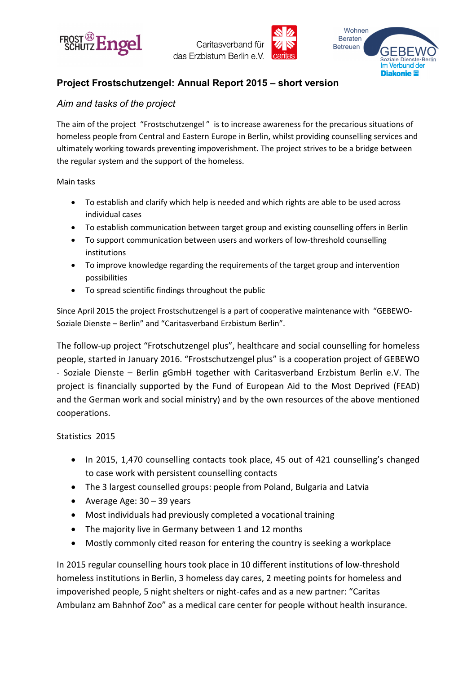





# **Project Frostschutzengel: Annual Report 2015 – short version**

### *Aim and tasks of the project*

The aim of the project "Frostschutzengel " is to increase awareness for the precarious situations of homeless people from Central and Eastern Europe in Berlin, whilst providing counselling services and ultimately working towards preventing impoverishment. The project strives to be a bridge between the regular system and the support of the homeless.

#### Main tasks

- To establish and clarify which help is needed and which rights are able to be used across individual cases
- To establish communication between target group and existing counselling offers in Berlin
- To support communication between users and workers of low-threshold counselling institutions
- To improve knowledge regarding the requirements of the target group and intervention possibilities
- To spread scientific findings throughout the public

Since April 2015 the project Frostschutzengel is a part of cooperative maintenance with "GEBEWO-Soziale Dienste – Berlin" and "Caritasverband Erzbistum Berlin".

The follow-up project "Frotschutzengel plus", healthcare and social counselling for homeless people, started in January 2016. "Frostschutzengel plus" is a cooperation project of GEBEWO - Soziale Dienste – Berlin gGmbH together with Caritasverband Erzbistum Berlin e.V. The project is financially supported by the Fund of European Aid to the Most Deprived (FEAD) and the German work and social ministry) and by the own resources of the above mentioned cooperations.

#### Statistics 2015

- In 2015, 1,470 counselling contacts took place, 45 out of 421 counselling's changed to case work with persistent counselling contacts
- The 3 largest counselled groups: people from Poland, Bulgaria and Latvia
- Average Age:  $30 39$  years
- Most individuals had previously completed a vocational training
- The majority live in Germany between 1 and 12 months
- Mostly commonly cited reason for entering the country is seeking a workplace

In 2015 regular counselling hours took place in 10 different institutions of low-threshold homeless institutions in Berlin, 3 homeless day cares, 2 meeting points for homeless and impoverished people, 5 night shelters or night-cafes and as a new partner: "Caritas Ambulanz am Bahnhof Zoo" as a medical care center for people without health insurance.